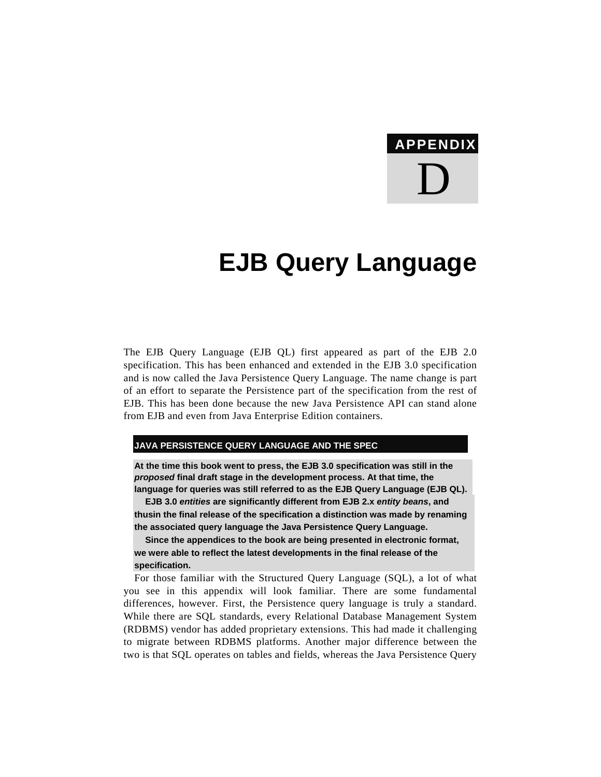# **APPENDIX**  D

## **EJB Query Language**

The EJB Query Language (EJB QL) first appeared as part of the EJB 2.0 specification. This has been enhanced and extended in the EJB 3.0 specification and is now called the Java Persistence Query Language. The name change is part of an effort to separate the Persistence part of the specification from the rest of EJB. This has been done because the new Java Persistence API can stand alone from EJB and even from Java Enterprise Edition containers.

#### **JAVA PERSISTENCE QUERY LANGUAGE AND THE SPEC**

**At the time this book went to press, the EJB 3.0 specification was still in the**  *proposed* **final draft stage in the development process. At that time, the language for queries was still referred to as the EJB Query Language (EJB QL).** 

**EJB 3.0** *entities* **are significantly different from EJB 2.x** *entity beans***, and thusin the final release of the specification a distinction was made by renaming the associated query language the Java Persistence Query Language.** 

**Since the appendices to the book are being presented in electronic format, we were able to reflect the latest developments in the final release of the specification.** 

For those familiar with the Structured Query Language (SQL), a lot of what you see in this appendix will look familiar. There are some fundamental differences, however. First, the Persistence query language is truly a standard. While there are SQL standards, every Relational Database Management System (RDBMS) vendor has added proprietary extensions. This had made it challenging to migrate between RDBMS platforms. Another major difference between the two is that SQL operates on tables and fields, whereas the Java Persistence Query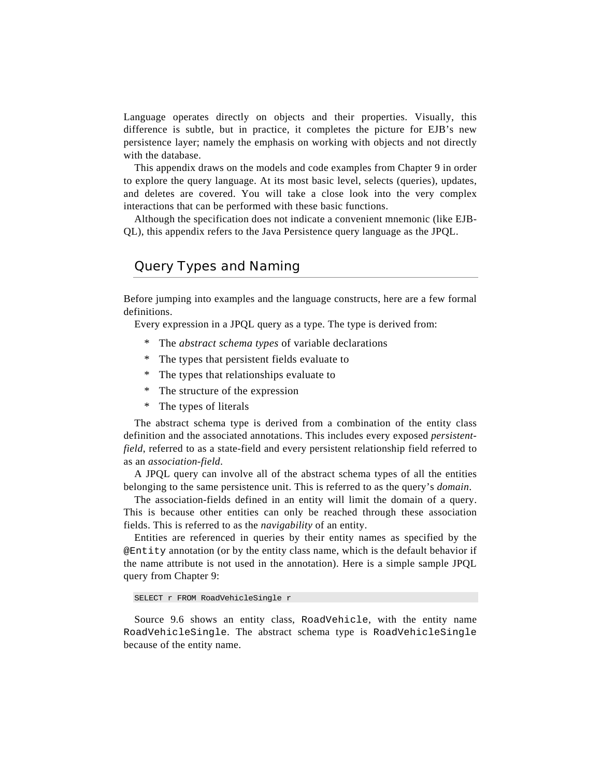Language operates directly on objects and their properties. Visually, this difference is subtle, but in practice, it completes the picture for EJB's new persistence layer; namely the emphasis on working with objects and not directly with the database.

This appendix draws on the models and code examples from Chapter 9 in order to explore the query language. At its most basic level, selects (queries), updates, and deletes are covered. You will take a close look into the very complex interactions that can be performed with these basic functions.

Although the specification does not indicate a convenient mnemonic (like EJB-QL), this appendix refers to the Java Persistence query language as the JPQL.

## Query Types and Naming

Before jumping into examples and the language constructs, here are a few formal definitions.

Every expression in a JPQL query as a type. The type is derived from:

- \* The *abstract schema types* of variable declarations
- \* The types that persistent fields evaluate to
- \* The types that relationships evaluate to
- \* The structure of the expression
- \* The types of literals

The abstract schema type is derived from a combination of the entity class definition and the associated annotations. This includes every exposed *persistentfield*, referred to as a state-field and every persistent relationship field referred to as an *association-field*.

A JPQL query can involve all of the abstract schema types of all the entities belonging to the same persistence unit. This is referred to as the query's *domain*.

The association-fields defined in an entity will limit the domain of a query. This is because other entities can only be reached through these association fields. This is referred to as the *navigability* of an entity.

Entities are referenced in queries by their entity names as specified by the @Entity annotation (or by the entity class name, which is the default behavior if the name attribute is not used in the annotation). Here is a simple sample JPQL query from Chapter 9:

```
SELECT r FROM RoadVehicleSingle r
```
Source 9.6 shows an entity class, RoadVehicle, with the entity name RoadVehicleSingle. The abstract schema type is RoadVehicleSingle because of the entity name.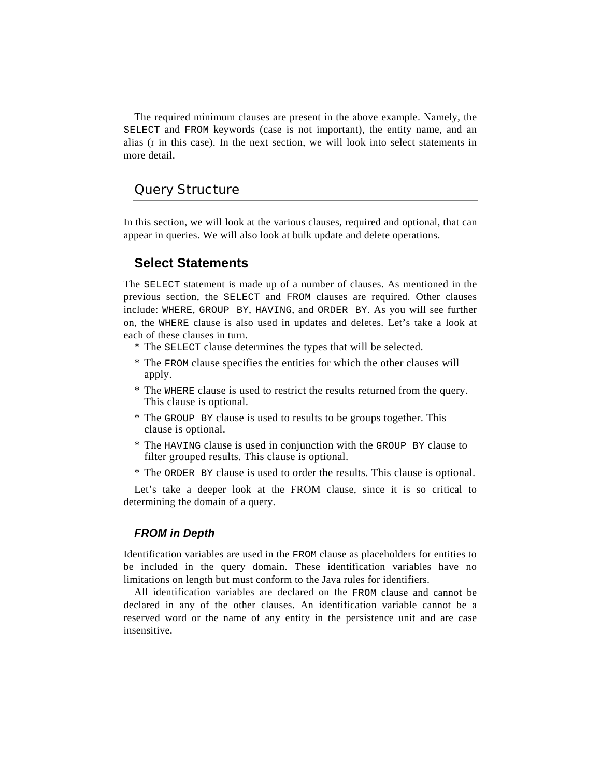The required minimum clauses are present in the above example. Namely, the SELECT and FROM keywords (case is not important), the entity name, and an alias (r in this case). In the next section, we will look into select statements in more detail.

## Query Structure

In this section, we will look at the various clauses, required and optional, that can appear in queries. We will also look at bulk update and delete operations.

## **Select Statements**

The SELECT statement is made up of a number of clauses. As mentioned in the previous section, the SELECT and FROM clauses are required. Other clauses include: WHERE, GROUP BY, HAVING, and ORDER BY. As you will see further on, the WHERE clause is also used in updates and deletes. Let's take a look at each of these clauses in turn.

- \* The SELECT clause determines the types that will be selected.
- \* The FROM clause specifies the entities for which the other clauses will apply.
- \* The WHERE clause is used to restrict the results returned from the query. This clause is optional.
- \* The GROUP BY clause is used to results to be groups together. This clause is optional.
- \* The HAVING clause is used in conjunction with the GROUP BY clause to filter grouped results. This clause is optional.
- \* The ORDER BY clause is used to order the results. This clause is optional.

Let's take a deeper look at the FROM clause, since it is so critical to determining the domain of a query.

#### *FROM in Depth*

Identification variables are used in the FROM clause as placeholders for entities to be included in the query domain. These identification variables have no limitations on length but must conform to the Java rules for identifiers.

All identification variables are declared on the FROM clause and cannot be declared in any of the other clauses. An identification variable cannot be a reserved word or the name of any entity in the persistence unit and are case insensitive.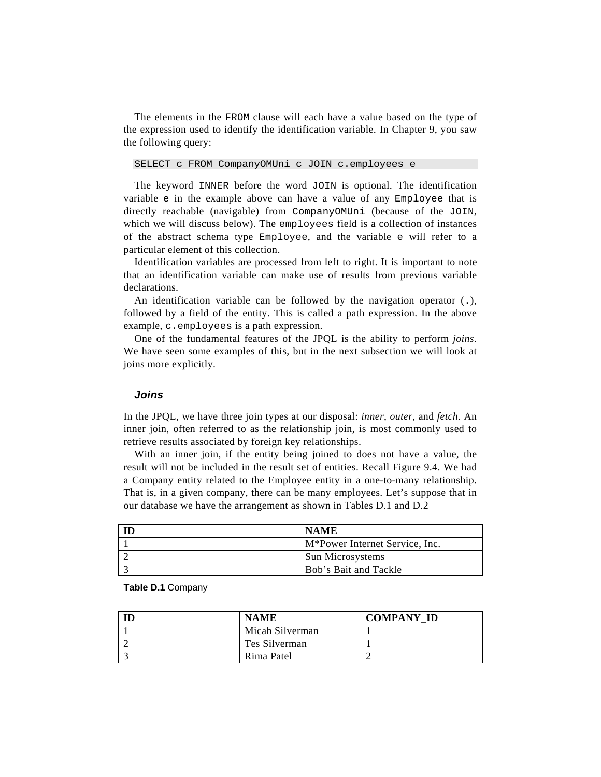The elements in the FROM clause will each have a value based on the type of the expression used to identify the identification variable. In Chapter 9, you saw the following query:

SELECT c FROM CompanyOMUni c JOIN c.employees e

The keyword INNER before the word JOIN is optional. The identification variable e in the example above can have a value of any Employee that is directly reachable (navigable) from CompanyOMUni (because of the JOIN, which we will discuss below). The employees field is a collection of instances of the abstract schema type Employee, and the variable e will refer to a particular element of this collection.

Identification variables are processed from left to right. It is important to note that an identification variable can make use of results from previous variable declarations.

An identification variable can be followed by the navigation operator (.), followed by a field of the entity. This is called a path expression. In the above example, c.employees is a path expression.

One of the fundamental features of the JPQL is the ability to perform *joins*. We have seen some examples of this, but in the next subsection we will look at joins more explicitly.

#### *Joins*

In the JPQL, we have three join types at our disposal: *inner*, *outer*, and *fetch*. An inner join, often referred to as the relationship join, is most commonly used to retrieve results associated by foreign key relationships.

With an inner join, if the entity being joined to does not have a value, the result will not be included in the result set of entities. Recall Figure 9.4. We had a Company entity related to the Employee entity in a one-to-many relationship. That is, in a given company, there can be many employees. Let's suppose that in our database we have the arrangement as shown in Tables D.1 and D.2

| <b>NAME</b>                                 |
|---------------------------------------------|
| M <sup>*</sup> Power Internet Service, Inc. |
| <b>Sun Microsystems</b>                     |
| Bob's Bait and Tackle                       |

| <b>NAME</b>     | <b>COMPANY ID</b> |
|-----------------|-------------------|
| Micah Silverman |                   |
| Tes Silverman   |                   |
| Rima Patel      |                   |

**Table D.1** Company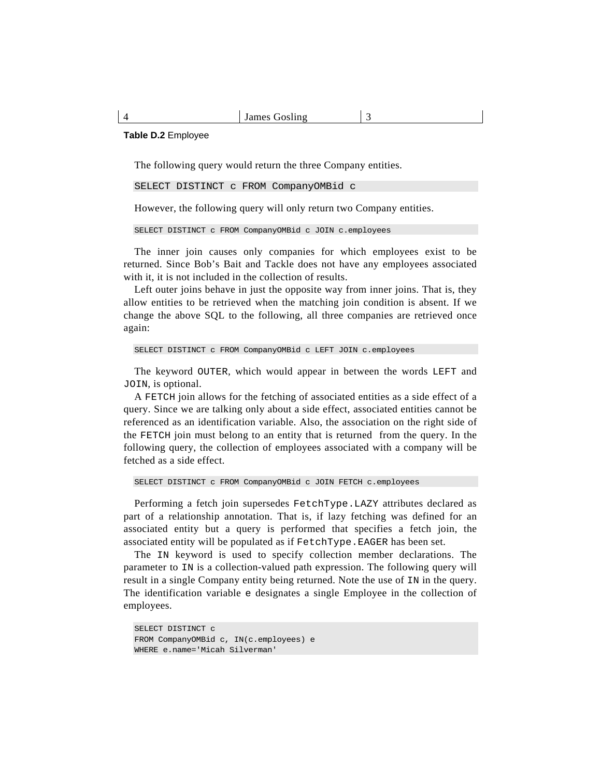#### **Table D.2** Employee

The following query would return the three Company entities.

SELECT DISTINCT c FROM CompanyOMBid c

However, the following query will only return two Company entities.

SELECT DISTINCT c FROM CompanyOMBid c JOIN c.employees

The inner join causes only companies for which employees exist to be returned. Since Bob's Bait and Tackle does not have any employees associated with it, it is not included in the collection of results.

Left outer joins behave in just the opposite way from inner joins. That is, they allow entities to be retrieved when the matching join condition is absent. If we change the above SQL to the following, all three companies are retrieved once again:

```
SELECT DISTINCT c FROM CompanyOMBid c LEFT JOIN c.employees
```
The keyword OUTER, which would appear in between the words LEFT and JOIN, is optional.

A FETCH join allows for the fetching of associated entities as a side effect of a query. Since we are talking only about a side effect, associated entities cannot be referenced as an identification variable. Also, the association on the right side of the FETCH join must belong to an entity that is returned from the query. In the following query, the collection of employees associated with a company will be fetched as a side effect.

```
SELECT DISTINCT c FROM CompanyOMBid c JOIN FETCH c.employees
```
Performing a fetch join supersedes FetchType.LAZY attributes declared as part of a relationship annotation. That is, if lazy fetching was defined for an associated entity but a query is performed that specifies a fetch join, the associated entity will be populated as if FetchType.EAGER has been set.

The IN keyword is used to specify collection member declarations. The parameter to IN is a collection-valued path expression. The following query will result in a single Company entity being returned. Note the use of IN in the query. The identification variable e designates a single Employee in the collection of employees.

```
SELECT DISTINCT c 
FROM CompanyOMBid c, IN(c.employees) e 
WHERE e.name='Micah Silverman'
```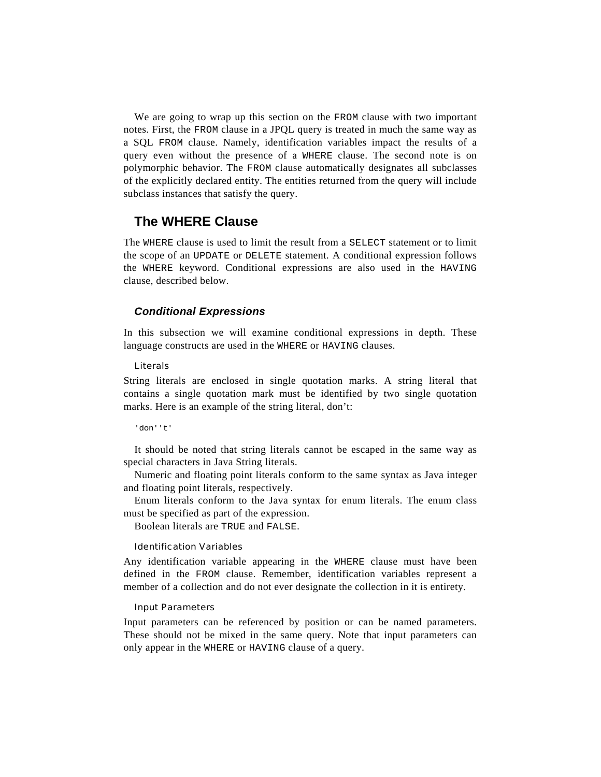We are going to wrap up this section on the FROM clause with two important notes. First, the FROM clause in a JPQL query is treated in much the same way as a SQL FROM clause. Namely, identification variables impact the results of a query even without the presence of a WHERE clause. The second note is on polymorphic behavior. The FROM clause automatically designates all subclasses of the explicitly declared entity. The entities returned from the query will include subclass instances that satisfy the query.

## **The WHERE Clause**

The WHERE clause is used to limit the result from a SELECT statement or to limit the scope of an UPDATE or DELETE statement. A conditional expression follows the WHERE keyword. Conditional expressions are also used in the HAVING clause, described below.

#### *Conditional Expressions*

In this subsection we will examine conditional expressions in depth. These language constructs are used in the WHERE or HAVING clauses.

#### Literals

String literals are enclosed in single quotation marks. A string literal that contains a single quotation mark must be identified by two single quotation marks. Here is an example of the string literal, don't:

'don''t'

It should be noted that string literals cannot be escaped in the same way as special characters in Java String literals.

Numeric and floating point literals conform to the same syntax as Java integer and floating point literals, respectively.

Enum literals conform to the Java syntax for enum literals. The enum class must be specified as part of the expression.

Boolean literals are TRUE and FALSE.

#### Identification Variables

Any identification variable appearing in the WHERE clause must have been defined in the FROM clause. Remember, identification variables represent a member of a collection and do not ever designate the collection in it is entirety.

#### Input Parameters

Input parameters can be referenced by position or can be named parameters. These should not be mixed in the same query. Note that input parameters can only appear in the WHERE or HAVING clause of a query.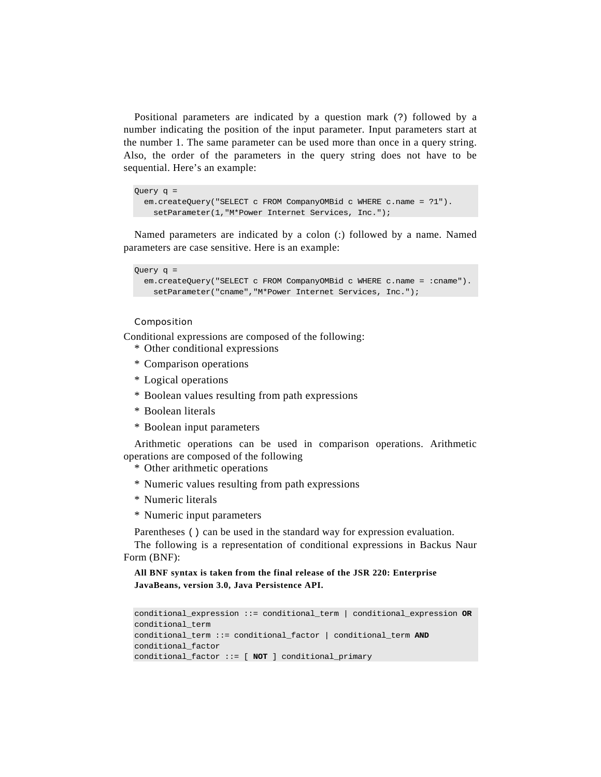Positional parameters are indicated by a question mark (?) followed by a number indicating the position of the input parameter. Input parameters start at the number 1. The same parameter can be used more than once in a query string. Also, the order of the parameters in the query string does not have to be sequential. Here's an example:

```
Query q = 
   em.createQuery("SELECT c FROM CompanyOMBid c WHERE c.name = ?1"). 
     setParameter(1,"M*Power Internet Services, Inc.");
```
Named parameters are indicated by a colon (:) followed by a name. Named parameters are case sensitive. Here is an example:

```
Query q = 
   em.createQuery("SELECT c FROM CompanyOMBid c WHERE c.name = :cname"). 
    setParameter("cname","M*Power Internet Services, Inc.");
```
#### Composition

Conditional expressions are composed of the following:

- \* Other conditional expressions
- \* Comparison operations
- \* Logical operations
- \* Boolean values resulting from path expressions
- \* Boolean literals
- \* Boolean input parameters

Arithmetic operations can be used in comparison operations. Arithmetic operations are composed of the following

- \* Other arithmetic operations
- \* Numeric values resulting from path expressions
- \* Numeric literals
- \* Numeric input parameters

Parentheses () can be used in the standard way for expression evaluation.

The following is a representation of conditional expressions in Backus Naur Form (BNF):

**All BNF syntax is taken from the final release of the JSR 220: Enterprise JavaBeans, version 3.0, Java Persistence API.** 

```
conditional_expression ::= conditional_term | conditional_expression OR
conditional_term 
conditional_term ::= conditional_factor | conditional_term AND
conditional_factor 
conditional_factor ::= [ NOT ] conditional_primary
```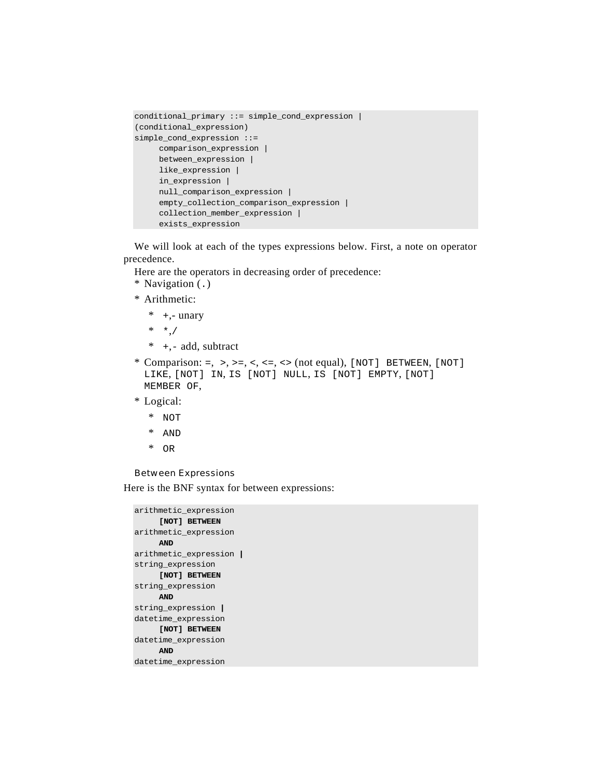```
conditional_primary ::= simple_cond_expression | 
(conditional_expression) 
simple_cond_expression ::= 
      comparison_expression | 
      between_expression | 
      like_expression | 
      in_expression | 
      null_comparison_expression | 
      empty_collection_comparison_expression | 
      collection_member_expression | 
      exists_expression
```
We will look at each of the types expressions below. First, a note on operator precedence.

Here are the operators in decreasing order of precedence:

\* Navigation (.)

\* Arithmetic:

- $*$  +,- unary
- \* \*,/
- \* +,- add, subtract
- \* Comparison: =, >, >=, <, <=, <> (not equal),  $[NOT]$  BETWEEN,  $[NOT]$ LIKE, [NOT] IN, IS [NOT] NULL, IS [NOT] EMPTY, [NOT] MEMBER OF,
- \* Logical:
	- \* NOT
	- \* AND
	- \* OR

#### Between Expressions

Here is the BNF syntax for between expressions:

```
arithmetic_expression 
     [NOT] BETWEEN 
arithmetic_expression 
     AND 
arithmetic_expression | 
string_expression 
     [NOT] BETWEEN 
string_expression 
     AND 
string_expression | 
datetime_expression 
     [NOT] BETWEEN 
datetime_expression 
    AND 
datetime_expression
```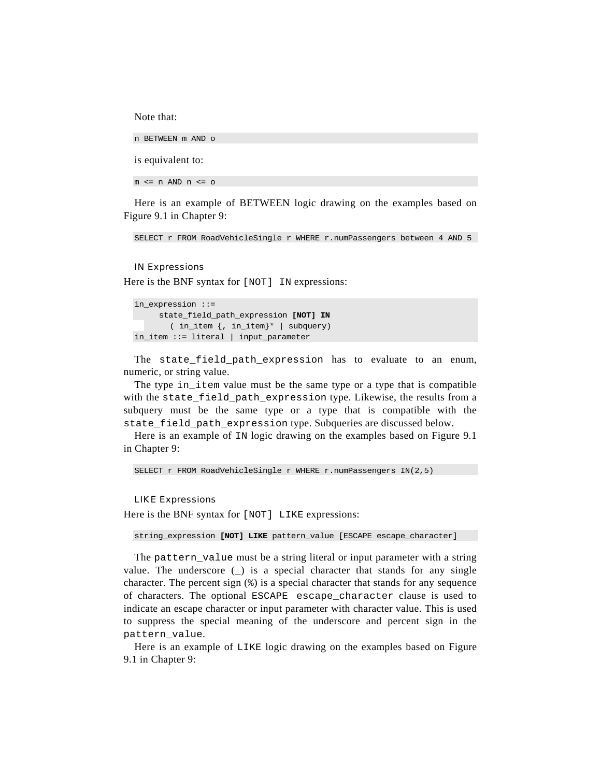Note that:

n BETWEEN m AND o

is equivalent to:

 $m \leq n$  AND  $n \leq o$ 

Here is an example of BETWEEN logic drawing on the examples based on Figure 9.1 in Chapter 9:

SELECT r FROM RoadVehicleSingle r WHERE r.numPassengers between 4 AND 5

#### IN Expressions

Here is the BNF syntax for [NOT] IN expressions:

```
in expression ::=
     state_field_path_expression [NOT] IN 
       ( in_item {, in_item}* | subquery) 
in_item ::= literal | input_parameter
```
The state\_field\_path\_expression has to evaluate to an enum, numeric, or string value.

The type in\_item value must be the same type or a type that is compatible with the state\_field\_path\_expression type. Likewise, the results from a subquery must be the same type or a type that is compatible with the state\_field\_path\_expression type. Subqueries are discussed below.

Here is an example of IN logic drawing on the examples based on Figure 9.1 in Chapter 9:

SELECT r FROM RoadVehicleSingle r WHERE r.numPassengers IN(2,5)

#### LIKE Expressions

Here is the BNF syntax for [NOT] LIKE expressions:

string\_expression **[NOT] LIKE** pattern\_value [ESCAPE escape\_character]

The pattern\_value must be a string literal or input parameter with a string value. The underscore  $($ ) is a special character that stands for any single character. The percent sign  $(*)$  is a special character that stands for any sequence of characters. The optional ESCAPE escape\_character clause is used to indicate an escape character or input parameter with character value. This is used to suppress the special meaning of the underscore and percent sign in the pattern\_value.

Here is an example of LIKE logic drawing on the examples based on Figure 9.1 in Chapter 9: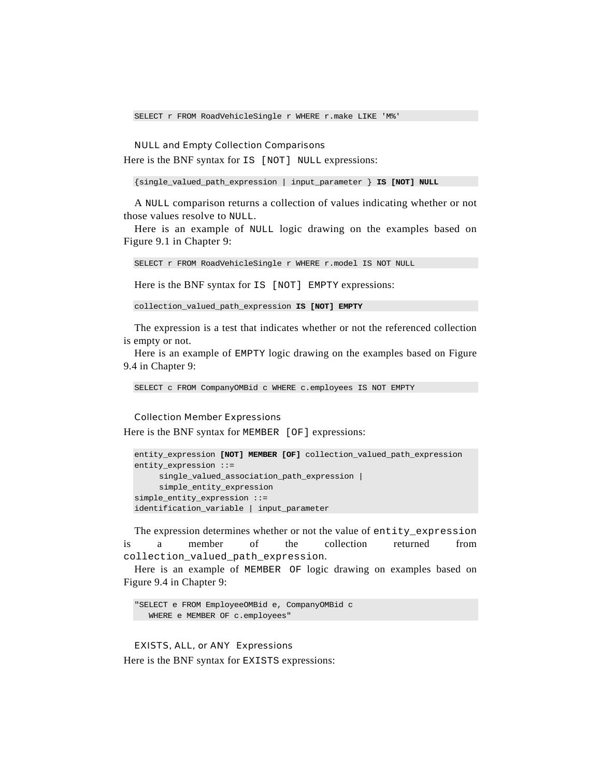SELECT r FROM RoadVehicleSingle r WHERE r.make LIKE 'M%'

#### NULL and Empty Collection Comparisons

Here is the BNF syntax for  $IS$  [NOT] NULL expressions:

{single\_valued\_path\_expression | input\_parameter } **IS [NOT] NULL** 

A NULL comparison returns a collection of values indicating whether or not those values resolve to NULL.

Here is an example of NULL logic drawing on the examples based on Figure 9.1 in Chapter 9:

```
SELECT r FROM RoadVehicleSingle r WHERE r.model IS NOT NULL
```
Here is the BNF syntax for IS [NOT] EMPTY expressions:

collection\_valued\_path\_expression **IS [NOT] EMPTY** 

The expression is a test that indicates whether or not the referenced collection is empty or not.

Here is an example of EMPTY logic drawing on the examples based on Figure 9.4 in Chapter 9:

SELECT c FROM CompanyOMBid c WHERE c.employees IS NOT EMPTY

#### Collection Member Expressions

Here is the BNF syntax for MEMBER [OF] expressions:

```
entity_expression [NOT] MEMBER [OF] collection_valued_path_expression 
entity_expression ::= 
     single_valued_association_path_expression | 
     simple_entity_expression 
simple_entity_expression ::= 
identification_variable | input_parameter
```
The expression determines whether or not the value of entity expression is a member of the collection returned from collection valued path expression.

Here is an example of MEMBER OF logic drawing on examples based on Figure 9.4 in Chapter 9:

```
"SELECT e FROM EmployeeOMBid e, CompanyOMBid c 
   WHERE e MEMBER OF c.employees"
```
#### EXISTS, ALL, or ANY Expressions

Here is the BNF syntax for EXISTS expressions: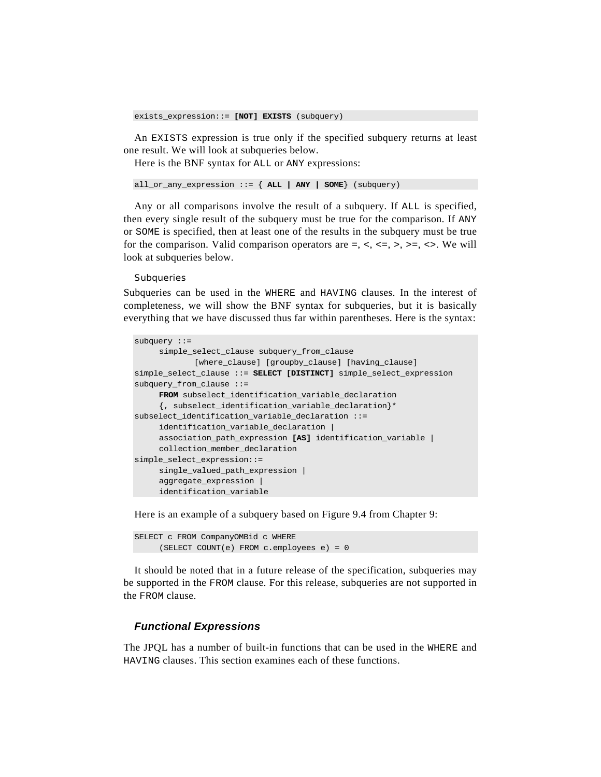exists\_expression::= **[NOT] EXISTS** (subquery)

An EXISTS expression is true only if the specified subquery returns at least one result. We will look at subqueries below.

Here is the BNF syntax for ALL or ANY expressions:

all\_or\_any\_expression ::= { **ALL | ANY | SOME**} (subquery)

Any or all comparisons involve the result of a subquery. If ALL is specified, then every single result of the subquery must be true for the comparison. If ANY or SOME is specified, then at least one of the results in the subquery must be true for the comparison. Valid comparison operators are  $=$ ,  $\lt$ ,  $\lt$  $=$ ,  $\gt$ ,  $\gt$  $=$ ,  $\lt$  $\gt$ . We will look at subqueries below.

#### **Subqueries**

Subqueries can be used in the WHERE and HAVING clauses. In the interest of completeness, we will show the BNF syntax for subqueries, but it is basically everything that we have discussed thus far within parentheses. Here is the syntax:

```
subquery ::= 
      simple_select_clause subquery_from_clause 
             [where_clause] [groupby_clause] [having_clause] 
simple_select_clause ::= SELECT [DISTINCT] simple_select_expression 
subquery_from_clause ::= 
     FROM subselect_identification_variable_declaration 
      {, subselect_identification_variable_declaration}* 
subselect_identification_variable_declaration ::= 
     identification_variable_declaration | 
      association_path_expression [AS] identification_variable | 
      collection_member_declaration 
simple_select_expression::= 
      single_valued_path_expression | 
      aggregate_expression | 
      identification_variable
```
Here is an example of a subquery based on Figure 9.4 from Chapter 9:

SELECT c FROM CompanyOMBid c WHERE (SELECT COUNT(e) FROM c.employees e) = 0

It should be noted that in a future release of the specification, subqueries may be supported in the FROM clause. For this release, subqueries are not supported in the FROM clause.

#### *Functional Expressions*

The JPQL has a number of built-in functions that can be used in the WHERE and HAVING clauses. This section examines each of these functions.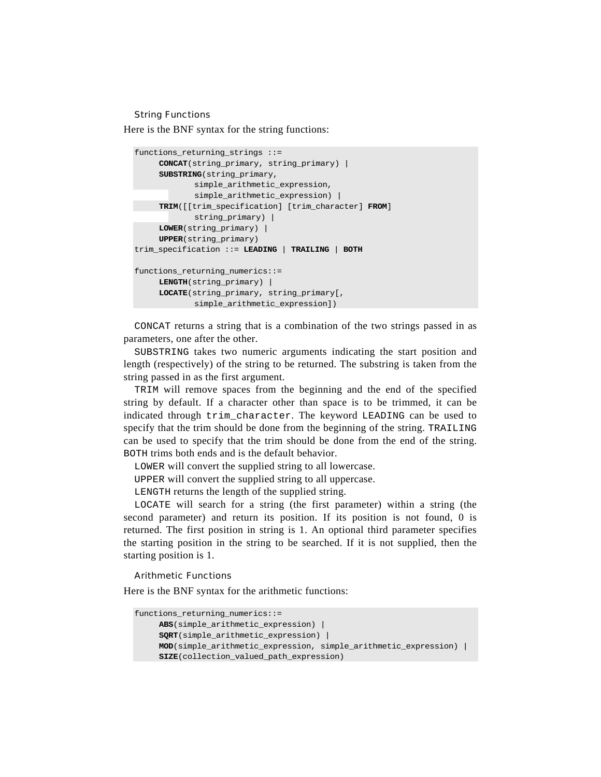#### String Functions

Here is the BNF syntax for the string functions:

```
functions_returning_strings ::= 
     CONCAT(string_primary, string_primary) | 
     SUBSTRING(string_primary, 
             simple_arithmetic_expression, 
             simple_arithmetic_expression) | 
     TRIM([[trim_specification] [trim_character] FROM] 
             string_primary) | 
     LOWER(string_primary) | 
     UPPER(string_primary) 
trim_specification ::= LEADING | TRAILING | BOTH 
functions_returning_numerics::= 
    LENGTH(string_primary) | 
     LOCATE(string_primary, string_primary[, 
             simple_arithmetic_expression])
```
CONCAT returns a string that is a combination of the two strings passed in as parameters, one after the other.

SUBSTRING takes two numeric arguments indicating the start position and length (respectively) of the string to be returned. The substring is taken from the string passed in as the first argument.

TRIM will remove spaces from the beginning and the end of the specified string by default. If a character other than space is to be trimmed, it can be indicated through trim\_character. The keyword LEADING can be used to specify that the trim should be done from the beginning of the string. TRAILING can be used to specify that the trim should be done from the end of the string. BOTH trims both ends and is the default behavior.

LOWER will convert the supplied string to all lowercase.

UPPER will convert the supplied string to all uppercase.

LENGTH returns the length of the supplied string.

LOCATE will search for a string (the first parameter) within a string (the second parameter) and return its position. If its position is not found, 0 is returned. The first position in string is 1. An optional third parameter specifies the starting position in the string to be searched. If it is not supplied, then the starting position is 1.

#### Arithmetic Functions

Here is the BNF syntax for the arithmetic functions:

```
functions_returning_numerics::= 
     ABS(simple_arithmetic_expression) | 
     SQRT(simple_arithmetic_expression) | 
     MOD(simple_arithmetic_expression, simple_arithmetic_expression) | 
     SIZE(collection_valued_path_expression)
```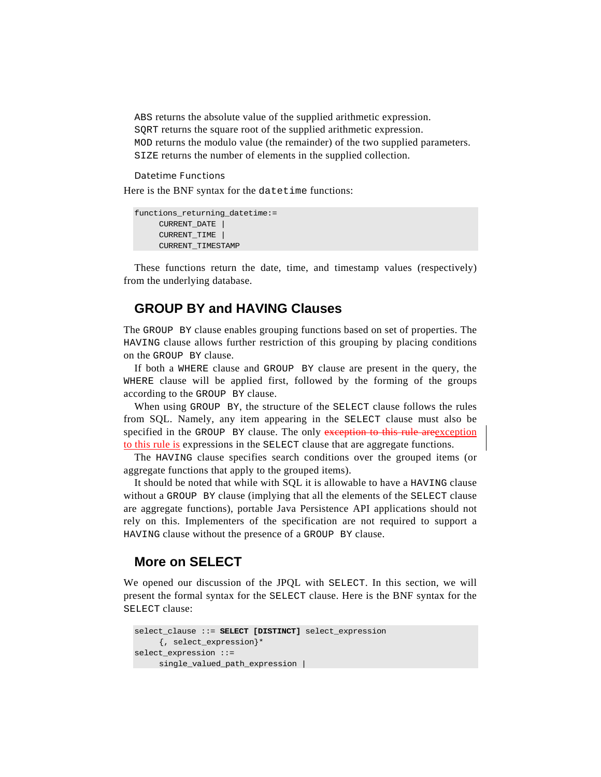ABS returns the absolute value of the supplied arithmetic expression. SQRT returns the square root of the supplied arithmetic expression. MOD returns the modulo value (the remainder) of the two supplied parameters. SIZE returns the number of elements in the supplied collection.

#### Datetime Functions

Here is the BNF syntax for the datetime functions:

```
functions returning datetime:=
     CURRENT_DATE | 
     CURRENT_TIME
     CURRENT_TIMESTAMP
```
These functions return the date, time, and timestamp values (respectively) from the underlying database.

## **GROUP BY and HAVING Clauses**

The GROUP BY clause enables grouping functions based on set of properties. The HAVING clause allows further restriction of this grouping by placing conditions on the GROUP BY clause.

If both a WHERE clause and GROUP BY clause are present in the query, the WHERE clause will be applied first, followed by the forming of the groups according to the GROUP BY clause.

When using GROUP BY, the structure of the SELECT clause follows the rules from SQL. Namely, any item appearing in the SELECT clause must also be specified in the GROUP BY clause. The only exception to this rule are exception to this rule is expressions in the SELECT clause that are aggregate functions.

The HAVING clause specifies search conditions over the grouped items (or aggregate functions that apply to the grouped items).

It should be noted that while with SQL it is allowable to have a HAVING clause without a GROUP BY clause (implying that all the elements of the SELECT clause are aggregate functions), portable Java Persistence API applications should not rely on this. Implementers of the specification are not required to support a HAVING clause without the presence of a GROUP BY clause.

## **More on SELECT**

We opened our discussion of the JPQL with SELECT. In this section, we will present the formal syntax for the SELECT clause. Here is the BNF syntax for the SELECT clause:

```
select_clause ::= SELECT [DISTINCT] select_expression 
     {, select_expression}* 
select_expression ::= 
     single_valued_path_expression |
```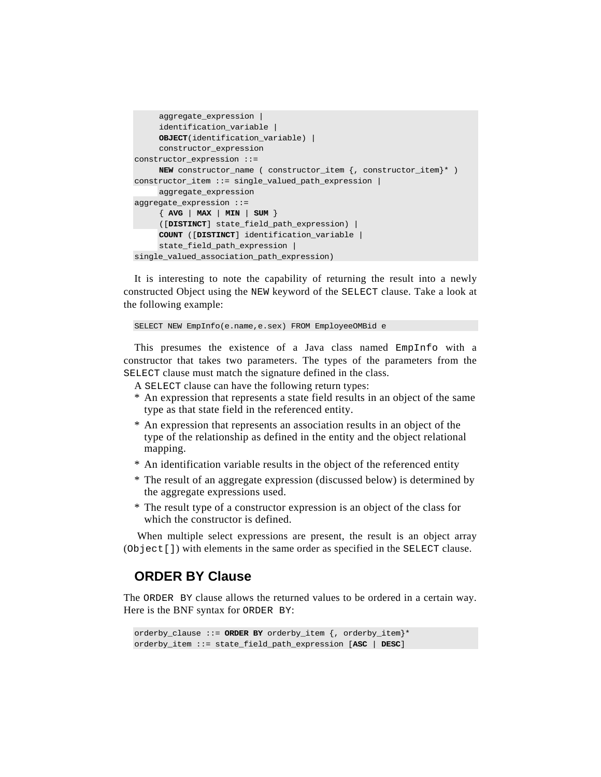```
aggregate_expression | 
     identification_variable | 
     OBJECT(identification_variable) | 
     constructor_expression 
constructor_expression ::= 
     NEW constructor_name ( constructor_item {, constructor_item}* ) 
constructor_item ::= single_valued_path_expression | 
     aggregate_expression 
aggregate_expression ::= 
     { AVG | MAX | MIN | SUM } 
     ([DISTINCT] state_field_path_expression) | 
     COUNT ([DISTINCT] identification_variable | 
     state_field_path_expression | 
single_valued_association_path_expression)
```
It is interesting to note the capability of returning the result into a newly constructed Object using the NEW keyword of the SELECT clause. Take a look at the following example:

```
SELECT NEW EmpInfo(e.name,e.sex) FROM EmployeeOMBid e
```
This presumes the existence of a Java class named EmpInfo with a constructor that takes two parameters. The types of the parameters from the SELECT clause must match the signature defined in the class.

A SELECT clause can have the following return types:

- \* An expression that represents a state field results in an object of the same type as that state field in the referenced entity.
- \* An expression that represents an association results in an object of the type of the relationship as defined in the entity and the object relational mapping.
- \* An identification variable results in the object of the referenced entity
- \* The result of an aggregate expression (discussed below) is determined by the aggregate expressions used.
- \* The result type of a constructor expression is an object of the class for which the constructor is defined.

 When multiple select expressions are present, the result is an object array (Object[]) with elements in the same order as specified in the SELECT clause.

## **ORDER BY Clause**

The ORDER BY clause allows the returned values to be ordered in a certain way. Here is the BNF syntax for ORDER BY:

```
orderby_clause ::= ORDER BY orderby_item {, orderby_item}* 
orderby_item ::= state_field_path_expression [ASC | DESC]
```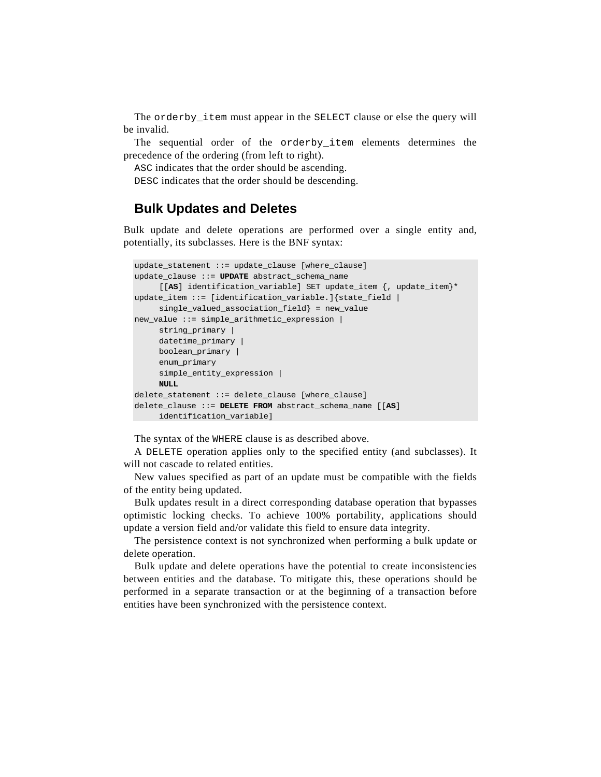The orderby\_item must appear in the SELECT clause or else the query will be invalid.

The sequential order of the orderby item elements determines the precedence of the ordering (from left to right).

ASC indicates that the order should be ascending.

DESC indicates that the order should be descending.

## **Bulk Updates and Deletes**

Bulk update and delete operations are performed over a single entity and, potentially, its subclasses. Here is the BNF syntax:

```
update_statement ::= update_clause [where_clause] 
update_clause ::= UPDATE abstract_schema_name 
     [[AS] identification_variable] SET update_item {, update_item}* 
update_item ::= [identification_variable.]{state_field | 
    single_valued_association_field} = new_value 
new_value ::= simple_arithmetic_expression | 
     string_primary | 
     datetime_primary | 
     boolean_primary | 
     enum_primary 
     simple_entity_expression | 
     NULL 
delete_statement ::= delete_clause [where_clause] 
delete_clause ::= DELETE FROM abstract_schema_name [[AS] 
     identification_variable]
```
The syntax of the WHERE clause is as described above.

A DELETE operation applies only to the specified entity (and subclasses). It will not cascade to related entities.

New values specified as part of an update must be compatible with the fields of the entity being updated.

Bulk updates result in a direct corresponding database operation that bypasses optimistic locking checks. To achieve 100% portability, applications should update a version field and/or validate this field to ensure data integrity.

The persistence context is not synchronized when performing a bulk update or delete operation.

Bulk update and delete operations have the potential to create inconsistencies between entities and the database. To mitigate this, these operations should be performed in a separate transaction or at the beginning of a transaction before entities have been synchronized with the persistence context.